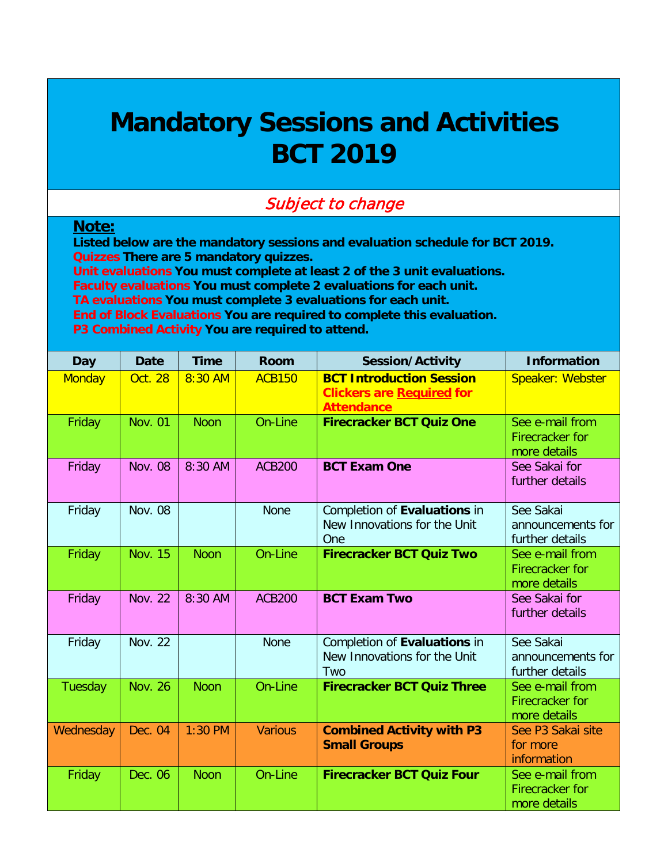## **Mandatory Sessions and Activities BCT 2019**

## Subject to change

## **Note:**

**Listed below are the mandatory sessions and evaluation schedule for BCT 2019. Quizzes There are 5 mandatory quizzes. Unit evaluations You must complete at least 2 of the 3 unit evaluations. Faculty evaluations You must complete 2 evaluations for each unit. TA evaluations You must complete 3 evaluations for each unit.**

**End of Block Evaluations You are required to complete this evaluation.**

**P3 Combined Activity You are required to attend.**

| <b>Day</b>    | <b>Date</b>    | <b>Time</b> | <b>Room</b>    | <b>Session/Activity</b>                                                                  | <b>Information</b>                                 |
|---------------|----------------|-------------|----------------|------------------------------------------------------------------------------------------|----------------------------------------------------|
| <b>Monday</b> | <b>Oct. 28</b> | 8:30 AM     | <b>ACB150</b>  | <b>BCT Introduction Session</b><br><b>Clickers are Required for</b><br><b>Attendance</b> | Speaker: Webster                                   |
| Friday        | <b>Nov. 01</b> | <b>Noon</b> | On-Line        | <b>Firecracker BCT Quiz One</b>                                                          | See e-mail from<br>Firecracker for<br>more details |
| Friday        | <b>Nov. 08</b> | 8:30 AM     | <b>ACB200</b>  | <b>BCT Exam One</b>                                                                      | See Sakai for<br>further details                   |
| Friday        | <b>Nov. 08</b> |             | <b>None</b>    | Completion of Evaluations in<br>New Innovations for the Unit<br>One                      | See Sakai<br>announcements for<br>further details  |
| Friday        | <b>Nov. 15</b> | <b>Noon</b> | On-Line        | <b>Firecracker BCT Quiz Two</b>                                                          | See e-mail from<br>Firecracker for<br>more details |
| Friday        | <b>Nov. 22</b> | 8:30 AM     | <b>ACB200</b>  | <b>BCT Exam Two</b>                                                                      | See Sakai for<br>further details                   |
| Friday        | <b>Nov. 22</b> |             | <b>None</b>    | Completion of Evaluations in<br>New Innovations for the Unit<br>Two                      | See Sakai<br>announcements for<br>further details  |
| Tuesday       | <b>Nov. 26</b> | <b>Noon</b> | On-Line        | <b>Firecracker BCT Quiz Three</b>                                                        | See e-mail from<br>Firecracker for<br>more details |
| Wednesday     | Dec. 04        | $1:30$ PM   | <b>Various</b> | <b>Combined Activity with P3</b><br><b>Small Groups</b>                                  | See P3 Sakai site<br>for more<br>information       |
| Friday        | Dec. 06        | <b>Noon</b> | On-Line        | <b>Firecracker BCT Quiz Four</b>                                                         | See e-mail from<br>Firecracker for<br>more details |